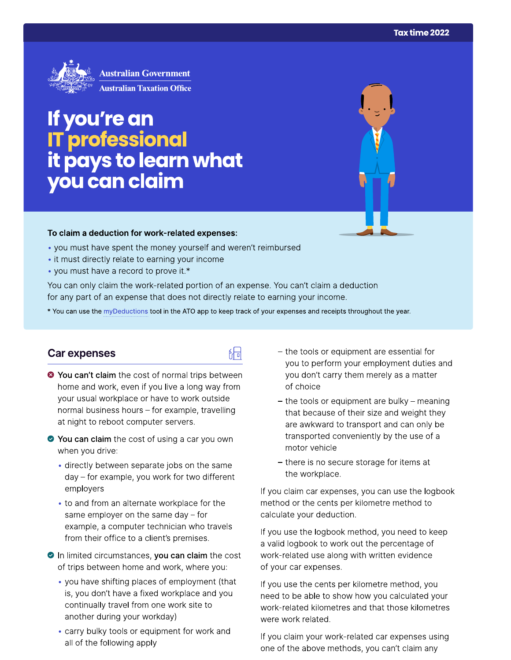

# If you're an<br>IT professional<br>it pays to learn what<br>you can claim

#### To claim a deduction for work-related expenses:

- you must have spent the money yourself and weren't reimbursed
- it must directly relate to earning your income
- you must have a record to prove it.\*

You can only claim the work-related portion of an expense. You can't claim a deduction for any part of an expense that does not directly relate to earning your income.

\* You can use the myDeductions tool in the ATO app to keep track of your expenses and receipts throughout the year.

### Car expenses

- <sup>●</sup> You can't claim the cost of normal trips between home and work, even if you live a long way from your usual workplace or have to work outside normal business hours - for example, travelling at night to reboot computer servers.
- ◆ You can claim the cost of using a car you own when you drive:
	- · directly between separate jobs on the same day - for example, you work for two different employers
	- to and from an alternate workplace for the same employer on the same day  $-$  for example, a computer technician who travels from their office to a client's premises.
- In limited circumstances, you can claim the cost of trips between home and work, where you:
	- you have shifting places of employment (that is, you don't have a fixed workplace and you continually travel from one work site to another during your workday)
	- carry bulky tools or equipment for work and all of the following apply
- the tools or equipment are essential for you to perform your employment duties and you don't carry them merely as a matter of choice
- the tools or equipment are bulky meaning that because of their size and weight they are awkward to transport and can only be transported conveniently by the use of a motor vehicle
- there is no secure storage for items at the workplace.

If you claim car expenses, you can use the logbook method or the cents per kilometre method to calculate your deduction.

If you use the logbook method, you need to keep a valid logbook to work out the percentage of work-related use along with written evidence of your car expenses.

If you use the cents per kilometre method, you need to be able to show how you calculated your work-related kilometres and that those kilometres were work related.

If you claim your work-related car expenses using one of the above methods, you can't claim any

# 品